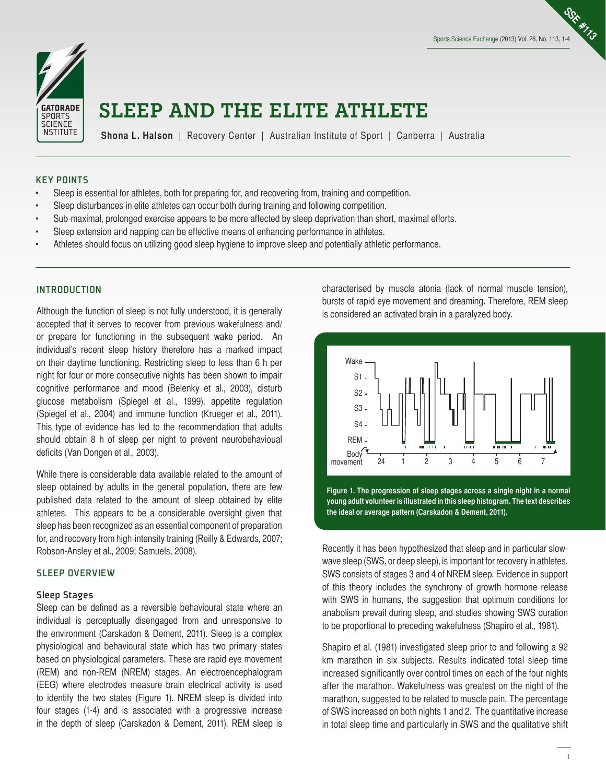**SSE #113**



# **SLEEP AND THE ELITE ATHLETE**

**Shona L. Halson** | Recovery Center | Australian Institute of Sport | Canberra | Australia

#### KEY POINTS

- Sleep is essential for athletes, both for preparing for, and recovering from, training and competition.
- Sleep disturbances in elite athletes can occur both during training and following competition.
- Sub-maximal, prolonged exercise appears to be more affected by sleep deprivation than short, maximal efforts.
- Sleep extension and napping can be effective means of enhancing performance in athletes.
- Athletes should focus on utilizing good sleep hygiene to improve sleep and potentially athletic performance.

#### **INTRODUCTION**

Although the function of sleep is not fully understood, it is generally accepted that it serves to recover from previous wakefulness and/ or prepare for functioning in the subsequent wake period. An individual's recent sleep history therefore has a marked impact on their daytime functioning. Restricting sleep to less than 6 h per night for four or more consecutive nights has been shown to impair cognitive performance and mood (Belenky et al., 2003), disturb glucose metabolism (Spiegel et al., 1999), appetite regulation (Spiegel et al., 2004) and immune function (Krueger et al., 2011). This type of evidence has led to the recommendation that adults should obtain 8 h of sleep per night to prevent neurobehavioual deficits (Van Dongen et al., 2003).

While there is considerable data available related to the amount of sleep obtained by adults in the general population, there are few published data related to the amount of sleep obtained by elite athletes. This appears to be a considerable oversight given that sleep has been recognized as an essential component of preparation for, and recovery from high-intensity training (Reilly & Edwards, 2007; Robson-Ansley et al., 2009; Samuels, 2008).

# SLEEP OVERVIEW

#### Sleep Stages

Sleep can be defined as a reversible behavioural state where an individual is perceptually disengaged from and unresponsive to the environment (Carskadon & Dement, 2011). Sleep is a complex physiological and behavioural state which has two primary states based on physiological parameters. These are rapid eye movement (REM) and non-REM (NREM) stages. An electroencephalogram (EEG) where electrodes measure brain electrical activity is used to identify the two states (Figure 1). NREM sleep is divided into four stages (1-4) and is associated with a progressive increase in the depth of sleep (Carskadon & Dement, 2011). REM sleep is

characterised by muscle atonia (lack of normal muscle tension), bursts of rapid eye movement and dreaming. Therefore, REM sleep is considered an activated brain in a paralyzed body.



**Figure 1. The progression of sleep stages across a single night in a normal young adult volunteer is illustrated in this sleep histogram. The text describes the ideal or average pattern (Carskadon & Dement, 2011).**

Recently it has been hypothesized that sleep and in particular slowwave sleep (SWS, or deep sleep), is important for recovery in athletes. SWS consists of stages 3 and 4 of NREM sleep. Evidence in support of this theory includes the synchrony of growth hormone release with SWS in humans, the suggestion that optimum conditions for anabolism prevail during sleep, and studies showing SWS duration to be proportional to preceding wakefulness (Shapiro et al., 1981).

Shapiro et al. (1981) investigated sleep prior to and following a 92 km marathon in six subjects. Results indicated total sleep time increased significantly over control times on each of the four nights after the marathon. Wakefulness was greatest on the night of the marathon, suggested to be related to muscle pain. The percentage of SWS increased on both nights 1 and 2. The quantitative increase in total sleep time and particularly in SWS and the qualitative shift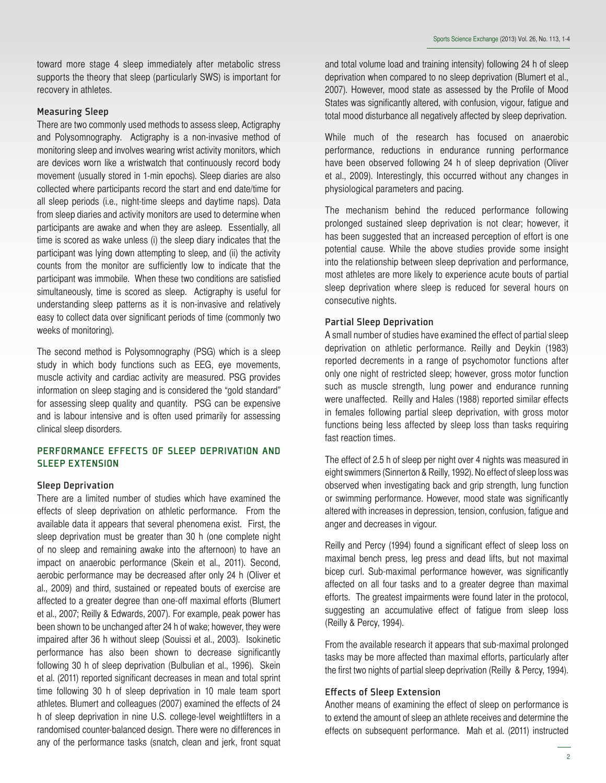toward more stage 4 sleep immediately after metabolic stress supports the theory that sleep (particularly SWS) is important for recovery in athletes.

# Measuring Sleep

There are two commonly used methods to assess sleep, Actigraphy and Polysomnography. Actigraphy is a non-invasive method of monitoring sleep and involves wearing wrist activity monitors, which are devices worn like a wristwatch that continuously record body movement (usually stored in 1-min epochs). Sleep diaries are also collected where participants record the start and end date/time for all sleep periods (i.e., night-time sleeps and daytime naps). Data from sleep diaries and activity monitors are used to determine when participants are awake and when they are asleep. Essentially, all time is scored as wake unless (i) the sleep diary indicates that the participant was lying down attempting to sleep, and (ii) the activity counts from the monitor are sufficiently low to indicate that the participant was immobile. When these two conditions are satisfied simultaneously, time is scored as sleep. Actigraphy is useful for understanding sleep patterns as it is non-invasive and relatively easy to collect data over significant periods of time (commonly two weeks of monitoring).

The second method is Polysomnography (PSG) which is a sleep study in which body functions such as EEG, eye movements, muscle activity and cardiac activity are measured. PSG provides information on sleep staging and is considered the "gold standard" for assessing sleep quality and quantity. PSG can be expensive and is labour intensive and is often used primarily for assessing clinical sleep disorders.

# PERFORMANCE EFFECTS OF SLEEP DEPRIVATION AND SLEEP EXTENSION

#### Sleep Deprivation

There are a limited number of studies which have examined the effects of sleep deprivation on athletic performance. From the available data it appears that several phenomena exist. First, the sleep deprivation must be greater than 30 h (one complete night of no sleep and remaining awake into the afternoon) to have an impact on anaerobic performance (Skein et al., 2011). Second, aerobic performance may be decreased after only 24 h (Oliver et al., 2009) and third, sustained or repeated bouts of exercise are affected to a greater degree than one-off maximal efforts (Blumert et al., 2007; Reilly & Edwards, 2007). For example, peak power has been shown to be unchanged after 24 h of wake; however, they were impaired after 36 h without sleep (Souissi et al., 2003). Isokinetic performance has also been shown to decrease significantly following 30 h of sleep deprivation (Bulbulian et al., 1996). Skein et al. (2011) reported significant decreases in mean and total sprint time following 30 h of sleep deprivation in 10 male team sport athletes. Blumert and colleagues (2007) examined the effects of 24 h of sleep deprivation in nine U.S. college-level weightlifters in a randomised counter-balanced design. There were no differences in any of the performance tasks (snatch, clean and jerk, front squat and total volume load and training intensity) following 24 h of sleep deprivation when compared to no sleep deprivation (Blumert et al., 2007). However, mood state as assessed by the Profile of Mood States was significantly altered, with confusion, vigour, fatigue and total mood disturbance all negatively affected by sleep deprivation.

While much of the research has focused on anaerobic performance, reductions in endurance running performance have been observed following 24 h of sleep deprivation (Oliver et al., 2009). Interestingly, this occurred without any changes in physiological parameters and pacing.

The mechanism behind the reduced performance following prolonged sustained sleep deprivation is not clear; however, it has been suggested that an increased perception of effort is one potential cause. While the above studies provide some insight into the relationship between sleep deprivation and performance, most athletes are more likely to experience acute bouts of partial sleep deprivation where sleep is reduced for several hours on consecutive nights.

#### Partial Sleep Deprivation

A small number of studies have examined the effect of partial sleep deprivation on athletic performance. Reilly and Deykin (1983) reported decrements in a range of psychomotor functions after only one night of restricted sleep; however, gross motor function such as muscle strength, lung power and endurance running were unaffected. Reilly and Hales (1988) reported similar effects in females following partial sleep deprivation, with gross motor functions being less affected by sleep loss than tasks requiring fast reaction times.

The effect of 2.5 h of sleep per night over 4 nights was measured in eight swimmers (Sinnerton & Reilly, 1992). No effect of sleep loss was observed when investigating back and grip strength, lung function or swimming performance. However, mood state was significantly altered with increases in depression, tension, confusion, fatigue and anger and decreases in vigour.

Reilly and Percy (1994) found a significant effect of sleep loss on maximal bench press, leg press and dead lifts, but not maximal bicep curl. Sub-maximal performance however, was significantly affected on all four tasks and to a greater degree than maximal efforts. The greatest impairments were found later in the protocol, suggesting an accumulative effect of fatigue from sleep loss (Reilly & Percy, 1994).

From the available research it appears that sub-maximal prolonged tasks may be more affected than maximal efforts, particularly after the first two nights of partial sleep deprivation (Reilly & Percy, 1994).

### Effects of Sleep Extension

Another means of examining the effect of sleep on performance is to extend the amount of sleep an athlete receives and determine the effects on subsequent performance. Mah et al. (2011) instructed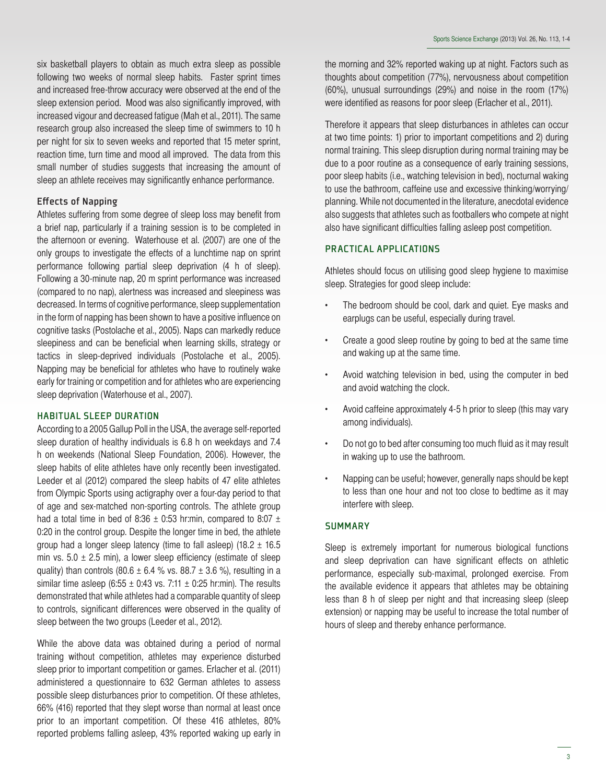six basketball players to obtain as much extra sleep as possible following two weeks of normal sleep habits. Faster sprint times and increased free-throw accuracy were observed at the end of the sleep extension period. Mood was also significantly improved, with increased vigour and decreased fatigue (Mah et al., 2011). The same research group also increased the sleep time of swimmers to 10 h per night for six to seven weeks and reported that 15 meter sprint, reaction time, turn time and mood all improved. The data from this small number of studies suggests that increasing the amount of sleep an athlete receives may significantly enhance performance.

# Effects of Napping

Athletes suffering from some degree of sleep loss may benefit from a brief nap, particularly if a training session is to be completed in the afternoon or evening. Waterhouse et al. (2007) are one of the only groups to investigate the effects of a lunchtime nap on sprint performance following partial sleep deprivation (4 h of sleep). Following a 30-minute nap, 20 m sprint performance was increased (compared to no nap), alertness was increased and sleepiness was decreased. In terms of cognitive performance, sleep supplementation in the form of napping has been shown to have a positive influence on cognitive tasks (Postolache et al., 2005). Naps can markedly reduce sleepiness and can be beneficial when learning skills, strategy or tactics in sleep-deprived individuals (Postolache et al., 2005). Napping may be beneficial for athletes who have to routinely wake early for training or competition and for athletes who are experiencing sleep deprivation (Waterhouse et al., 2007).

# HABITUAL SLEEP DURATION

According to a 2005 Gallup Poll in the USA, the average self-reported sleep duration of healthy individuals is 6.8 h on weekdays and 7.4 h on weekends (National Sleep Foundation, 2006). However, the sleep habits of elite athletes have only recently been investigated. Leeder et al (2012) compared the sleep habits of 47 elite athletes from Olympic Sports using actigraphy over a four-day period to that of age and sex-matched non-sporting controls. The athlete group had a total time in bed of 8:36  $\pm$  0:53 hr:min, compared to 8:07  $\pm$ 0:20 in the control group. Despite the longer time in bed, the athlete group had a longer sleep latency (time to fall asleep) (18.2  $\pm$  16.5 min vs.  $5.0 \pm 2.5$  min), a lower sleep efficiency (estimate of sleep quality) than controls (80.6  $\pm$  6.4 % vs. 88.7  $\pm$  3.6 %), resulting in a similar time asleep (6:55  $\pm$  0:43 vs. 7:11  $\pm$  0:25 hr:min). The results demonstrated that while athletes had a comparable quantity of sleep to controls, significant differences were observed in the quality of sleep between the two groups (Leeder et al., 2012).

While the above data was obtained during a period of normal training without competition, athletes may experience disturbed sleep prior to important competition or games. Erlacher et al. (2011) administered a questionnaire to 632 German athletes to assess possible sleep disturbances prior to competition. Of these athletes, 66% (416) reported that they slept worse than normal at least once prior to an important competition. Of these 416 athletes, 80% reported problems falling asleep, 43% reported waking up early in

the morning and 32% reported waking up at night. Factors such as thoughts about competition (77%), nervousness about competition (60%), unusual surroundings (29%) and noise in the room (17%) were identified as reasons for poor sleep (Erlacher et al., 2011).

Therefore it appears that sleep disturbances in athletes can occur at two time points: 1) prior to important competitions and 2) during normal training. This sleep disruption during normal training may be due to a poor routine as a consequence of early training sessions, poor sleep habits (i.e., watching television in bed), nocturnal waking to use the bathroom, caffeine use and excessive thinking/worrying/ planning. While not documented in the literature, anecdotal evidence also suggests that athletes such as footballers who compete at night also have significant difficulties falling asleep post competition.

# PRACTICAL APPLICATIONS

Athletes should focus on utilising good sleep hygiene to maximise sleep. Strategies for good sleep include:

- The bedroom should be cool, dark and quiet. Eye masks and earplugs can be useful, especially during travel.
- Create a good sleep routine by going to bed at the same time and waking up at the same time.
- Avoid watching television in bed, using the computer in bed and avoid watching the clock.
- Avoid caffeine approximately 4-5 h prior to sleep (this may vary among individuals).
- Do not go to bed after consuming too much fluid as it may result in waking up to use the bathroom.
- Napping can be useful; however, generally naps should be kept to less than one hour and not too close to bedtime as it may interfere with sleep.

#### **SUMMARY**

Sleep is extremely important for numerous biological functions and sleep deprivation can have significant effects on athletic performance, especially sub-maximal, prolonged exercise. From the available evidence it appears that athletes may be obtaining less than 8 h of sleep per night and that increasing sleep (sleep extension) or napping may be useful to increase the total number of hours of sleep and thereby enhance performance.